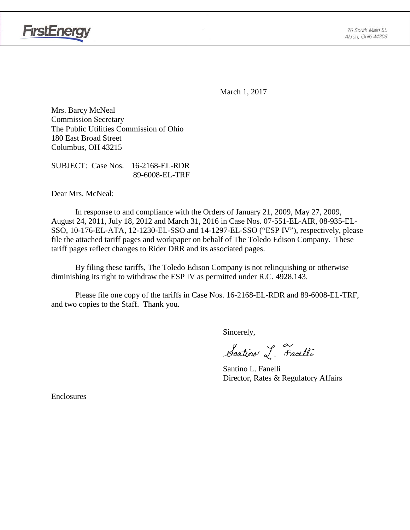



March 1, 2017

Mrs. Barcy McNeal Commission Secretary The Public Utilities Commission of Ohio 180 East Broad Street Columbus, OH 43215

SUBJECT: Case Nos. 16-2168-EL-RDR 89-6008-EL-TRF

Dear Mrs. McNeal:

In response to and compliance with the Orders of January 21, 2009, May 27, 2009, August 24, 2011, July 18, 2012 and March 31, 2016 in Case Nos. 07-551-EL-AIR, 08-935-EL-SSO, 10-176-EL-ATA, 12-1230-EL-SSO and 14-1297-EL-SSO ("ESP IV"), respectively, please file the attached tariff pages and workpaper on behalf of The Toledo Edison Company. These tariff pages reflect changes to Rider DRR and its associated pages.

By filing these tariffs, The Toledo Edison Company is not relinquishing or otherwise diminishing its right to withdraw the ESP IV as permitted under R.C. 4928.143.

Please file one copy of the tariffs in Case Nos. 16-2168-EL-RDR and 89-6008-EL-TRF, and two copies to the Staff. Thank you.

Sincerely,

Santino L. Farelli

Santino L. Fanelli Director, Rates & Regulatory Affairs

Enclosures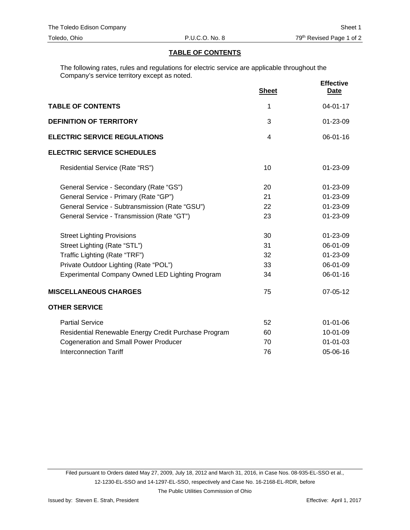## **TABLE OF CONTENTS**

The following rates, rules and regulations for electric service are applicable throughout the Company's service territory except as noted.

|                                                      | <b>Sheet</b>   | <b>Effective</b><br><b>Date</b> |
|------------------------------------------------------|----------------|---------------------------------|
| <b>TABLE OF CONTENTS</b>                             | 1              | $04 - 01 - 17$                  |
| <b>DEFINITION OF TERRITORY</b>                       | 3              | 01-23-09                        |
| <b>ELECTRIC SERVICE REGULATIONS</b>                  | $\overline{4}$ | $06 - 01 - 16$                  |
| <b>ELECTRIC SERVICE SCHEDULES</b>                    |                |                                 |
| Residential Service (Rate "RS")                      | 10             | $01 - 23 - 09$                  |
| General Service - Secondary (Rate "GS")              | 20             | $01 - 23 - 09$                  |
| General Service - Primary (Rate "GP")                | 21             | 01-23-09                        |
| General Service - Subtransmission (Rate "GSU")       | 22             | 01-23-09                        |
| General Service - Transmission (Rate "GT")           | 23             | 01-23-09                        |
| <b>Street Lighting Provisions</b>                    | 30             | 01-23-09                        |
| Street Lighting (Rate "STL")                         | 31             | 06-01-09                        |
| Traffic Lighting (Rate "TRF")                        | 32             | 01-23-09                        |
| Private Outdoor Lighting (Rate "POL")                | 33             | 06-01-09                        |
| Experimental Company Owned LED Lighting Program      | 34             | 06-01-16                        |
| <b>MISCELLANEOUS CHARGES</b>                         | 75             | 07-05-12                        |
| <b>OTHER SERVICE</b>                                 |                |                                 |
| <b>Partial Service</b>                               | 52             | $01 - 01 - 06$                  |
| Residential Renewable Energy Credit Purchase Program | 60             | 10-01-09                        |
| <b>Cogeneration and Small Power Producer</b>         | 70             | $01 - 01 - 03$                  |
| <b>Interconnection Tariff</b>                        | 76             | 05-06-16                        |

Filed pursuant to Orders dated May 27, 2009, July 18, 2012 and March 31, 2016, in Case Nos. 08-935-EL-SSO et al., 12-1230-EL-SSO and 14-1297-EL-SSO, respectively and Case No. 16-2168-EL-RDR, before

The Public Utilities Commission of Ohio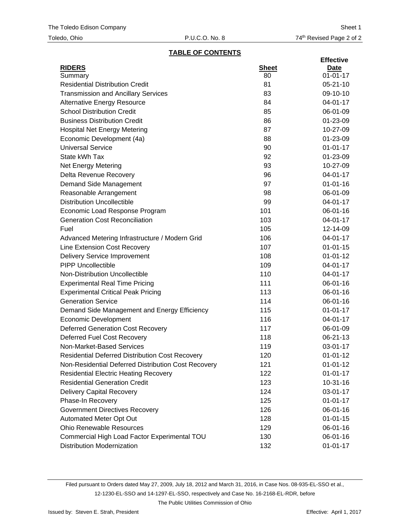## **TABLE OF CONTENTS**

|                                                        |              | <b>Effective</b> |
|--------------------------------------------------------|--------------|------------------|
| <b>RIDERS</b>                                          | <b>Sheet</b> | Date             |
| Summary                                                | 80           | $01 - 01 - 17$   |
| <b>Residential Distribution Credit</b>                 | 81           | $05 - 21 - 10$   |
| <b>Transmission and Ancillary Services</b>             | 83           | 09-10-10         |
| <b>Alternative Energy Resource</b>                     | 84           | 04-01-17         |
| <b>School Distribution Credit</b>                      | 85           | 06-01-09         |
| <b>Business Distribution Credit</b>                    | 86           | 01-23-09         |
| <b>Hospital Net Energy Metering</b>                    | 87           | 10-27-09         |
| Economic Development (4a)                              | 88           | 01-23-09         |
| <b>Universal Service</b>                               | 90           | $01 - 01 - 17$   |
| State kWh Tax                                          | 92           | 01-23-09         |
| Net Energy Metering                                    | 93           | 10-27-09         |
| Delta Revenue Recovery                                 | 96           | 04-01-17         |
| Demand Side Management                                 | 97           | $01 - 01 - 16$   |
| Reasonable Arrangement                                 | 98           | 06-01-09         |
| <b>Distribution Uncollectible</b>                      | 99           | $04 - 01 - 17$   |
| Economic Load Response Program                         | 101          | 06-01-16         |
| <b>Generation Cost Reconciliation</b>                  | 103          | 04-01-17         |
| Fuel                                                   | 105          | 12-14-09         |
| Advanced Metering Infrastructure / Modern Grid         | 106          | 04-01-17         |
| Line Extension Cost Recovery                           | 107          | $01 - 01 - 15$   |
| <b>Delivery Service Improvement</b>                    | 108          | $01 - 01 - 12$   |
| <b>PIPP Uncollectible</b>                              | 109          | 04-01-17         |
| Non-Distribution Uncollectible                         | 110          | 04-01-17         |
| <b>Experimental Real Time Pricing</b>                  | 111          | 06-01-16         |
| <b>Experimental Critical Peak Pricing</b>              | 113          | 06-01-16         |
| <b>Generation Service</b>                              | 114          | 06-01-16         |
| Demand Side Management and Energy Efficiency           | 115          | $01 - 01 - 17$   |
| <b>Economic Development</b>                            | 116          | 04-01-17         |
| <b>Deferred Generation Cost Recovery</b>               | 117          | 06-01-09         |
| <b>Deferred Fuel Cost Recovery</b>                     | 118          | 06-21-13         |
| Non-Market-Based Services                              | 119          | 03-01-17         |
| <b>Residential Deferred Distribution Cost Recovery</b> | 120          | $01 - 01 - 12$   |
| Non-Residential Deferred Distribution Cost Recovery    | 121          | $01 - 01 - 12$   |
| <b>Residential Electric Heating Recovery</b>           | 122          | $01 - 01 - 17$   |
| <b>Residential Generation Credit</b>                   | 123          | $10-31-16$       |
| <b>Delivery Capital Recovery</b>                       | 124          | 03-01-17         |
| Phase-In Recovery                                      | 125          | $01 - 01 - 17$   |
| <b>Government Directives Recovery</b>                  | 126          | 06-01-16         |
| Automated Meter Opt Out                                | 128          | $01 - 01 - 15$   |
| <b>Ohio Renewable Resources</b>                        | 129          | 06-01-16         |
| Commercial High Load Factor Experimental TOU           | 130          | 06-01-16         |
| <b>Distribution Modernization</b>                      | 132          | $01 - 01 - 17$   |
|                                                        |              |                  |

Filed pursuant to Orders dated May 27, 2009, July 18, 2012 and March 31, 2016, in Case Nos. 08-935-EL-SSO et al., 12-1230-EL-SSO and 14-1297-EL-SSO, respectively and Case No. 16-2168-EL-RDR, before

The Public Utilities Commission of Ohio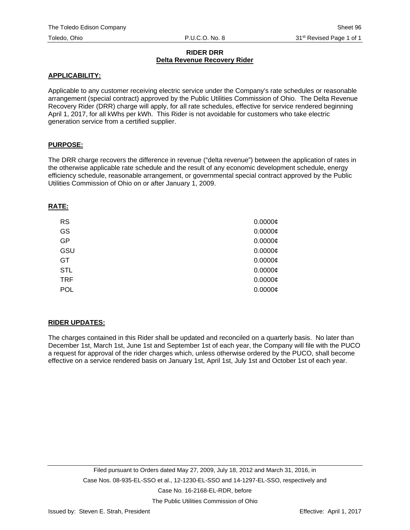### **RIDER DRR Delta Revenue Recovery Rider**

### **APPLICABILITY:**

Applicable to any customer receiving electric service under the Company's rate schedules or reasonable arrangement (special contract) approved by the Public Utilities Commission of Ohio. The Delta Revenue Recovery Rider (DRR) charge will apply, for all rate schedules, effective for service rendered beginning April 1, 2017, for all kWhs per kWh. This Rider is not avoidable for customers who take electric generation service from a certified supplier.

# **PURPOSE:**

The DRR charge recovers the difference in revenue ("delta revenue") between the application of rates in the otherwise applicable rate schedule and the result of any economic development schedule, energy efficiency schedule, reasonable arrangement, or governmental special contract approved by the Public Utilities Commission of Ohio on or after January 1, 2009.

#### **RATE:**

| <b>RS</b>  | 0.0000C    |
|------------|------------|
| <b>GS</b>  | $0.0000$ ¢ |
| GP         | $0.0000$ ¢ |
| GSU        | $0.0000$ ¢ |
| GT         | $0.0000$ ¢ |
| <b>STL</b> | 0.0000C    |
| <b>TRF</b> | 0.0000C    |
| <b>POL</b> | 0.0000C    |

# **RIDER UPDATES:**

The charges contained in this Rider shall be updated and reconciled on a quarterly basis. No later than December 1st, March 1st, June 1st and September 1st of each year, the Company will file with the PUCO a request for approval of the rider charges which, unless otherwise ordered by the PUCO, shall become effective on a service rendered basis on January 1st, April 1st, July 1st and October 1st of each year.

The Public Utilities Commission of Ohio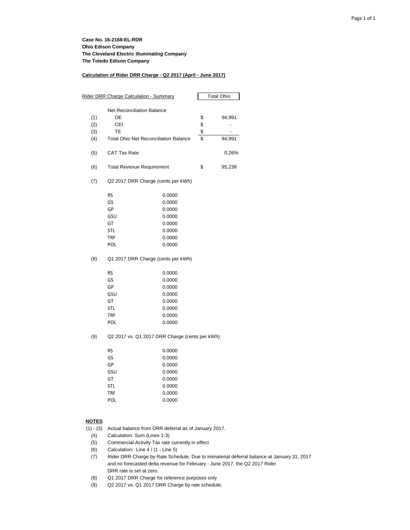#### **Calculation of Rider DRR Charge - Q2 2017 (April - June 2017)**

| Rider DRR Charge Calculation - Summary |                                                |        | <b>Total Ohio</b> |        |  |
|----------------------------------------|------------------------------------------------|--------|-------------------|--------|--|
|                                        | Net Reconciliation Balance                     |        |                   |        |  |
|                                        | OE                                             |        |                   |        |  |
| (1)                                    | CEI                                            |        | \$<br>\$          | 94,991 |  |
| (2)<br>(3)                             | TE                                             |        |                   |        |  |
| (4)                                    |                                                |        | \$<br>\$          | -      |  |
|                                        | <b>Total Ohio Net Reconciliation Balance</b>   |        |                   | 94,991 |  |
| (5)                                    | <b>CAT Tax Rate</b>                            |        |                   | 0.26%  |  |
| (6)                                    | <b>Total Revenue Requirement</b>               |        | \$                | 95,238 |  |
| (7)                                    | Q2 2017 DRR Charge (cents per kWh)             |        |                   |        |  |
|                                        | <b>RS</b>                                      | 0.0000 |                   |        |  |
|                                        | GS                                             | 0.0000 |                   |        |  |
|                                        | GP                                             | 0.0000 |                   |        |  |
|                                        | GSU                                            | 0.0000 |                   |        |  |
|                                        | GT                                             | 0.0000 |                   |        |  |
|                                        | <b>STL</b>                                     | 0.0000 |                   |        |  |
|                                        | <b>TRF</b>                                     | 0.0000 |                   |        |  |
|                                        | POL                                            | 0.0000 |                   |        |  |
| (8)                                    | Q1 2017 DRR Charge (cents per kWh)             |        |                   |        |  |
|                                        | <b>RS</b>                                      | 0.0000 |                   |        |  |
|                                        | GS                                             | 0.0000 |                   |        |  |
|                                        | GP                                             | 0.0000 |                   |        |  |
|                                        | GSU                                            | 0.0000 |                   |        |  |
|                                        | GT                                             | 0.0000 |                   |        |  |
|                                        | STL                                            | 0.0000 |                   |        |  |
|                                        | TRF                                            | 0.0000 |                   |        |  |
|                                        | <b>POL</b>                                     | 0.0000 |                   |        |  |
| (9)                                    | Q2 2017 vs. Q1 2017 DRR Charge (cents per kWh) |        |                   |        |  |
|                                        | <b>RS</b>                                      | 0.0000 |                   |        |  |
|                                        | GS                                             | 0.0000 |                   |        |  |
|                                        | GP                                             | 0.0000 |                   |        |  |
|                                        | GSU                                            | 0.0000 |                   |        |  |
|                                        | GT                                             | 0.0000 |                   |        |  |
|                                        | <b>STL</b>                                     | 0.0000 |                   |        |  |
|                                        | TRF                                            | 0.0000 |                   |        |  |
|                                        | POL                                            | 0.0000 |                   |        |  |

#### **NOTES**

(1) - (3) Actual balance from DRR deferral as of January 2017.

(4) Calculation: Sum (Lines 1-3)

- (5) Commercial Activity Tax rate currently in effect
- (6) Calculation: Line 4 / (1 Line 5)
- (7) Rider DRR Charge by Rate Schedule. Due to immaterial deferral balance at January 31, 2017 and no forecasted delta revenue for February - June 2017, the Q2 2017 Rider DRR rate is set at zero.
- (8) Q1 2017 DRR Charge for reference purposes only
- (9) Q2 2017 vs. Q1 2017 DRR Charge by rate schedule.